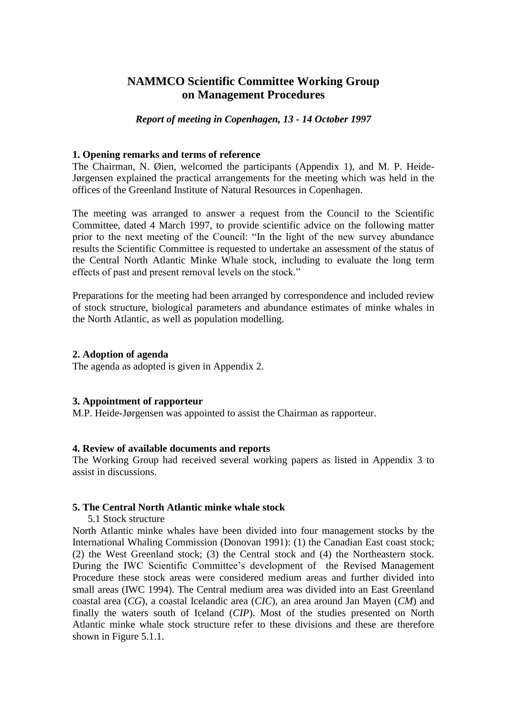# **NAMMCO Scientific Committee Working Group on Management Procedures**

### *Report of meeting in Copenhagen, 13 - 14 October 1997*

### **1. Opening remarks and terms of reference**

The Chairman, N. Øien, welcomed the participants (Appendix 1), and M. P. Heide-Jørgensen explained the practical arrangements for the meeting which was held in the offices of the Greenland Institute of Natural Resources in Copenhagen.

The meeting was arranged to answer a request from the Council to the Scientific Committee, dated 4 March 1997, to provide scientific advice on the following matter prior to the next meeting of the Council: "In the light of the new survey abundance results the Scientific Committee is requested to undertake an assessment of the status of the Central North Atlantic Minke Whale stock, including to evaluate the long term effects of past and present removal levels on the stock."

Preparations for the meeting had been arranged by correspondence and included review of stock structure, biological parameters and abundance estimates of minke whales in the North Atlantic, as well as population modelling.

#### **2. Adoption of agenda**

The agenda as adopted is given in Appendix 2.

## **3. Appointment of rapporteur**

M.P. Heide-Jørgensen was appointed to assist the Chairman as rapporteur.

#### **4. Review of available documents and reports**

The Working Group had received several working papers as listed in Appendix 3 to assist in discussions.

## **5. The Central North Atlantic minke whale stock**

5.1 Stock structure

North Atlantic minke whales have been divided into four management stocks by the International Whaling Commission (Donovan 1991): (1) the Canadian East coast stock; (2) the West Greenland stock; (3) the Central stock and (4) the Northeastern stock. During the IWC Scientific Committee's development of the Revised Management Procedure these stock areas were considered medium areas and further divided into small areas (IWC 1994). The Central medium area was divided into an East Greenland coastal area (*CG*), a coastal Icelandic area (*CIC*), an area around Jan Mayen (*CM*) and finally the waters south of Iceland (*CIP*). Most of the studies presented on North Atlantic minke whale stock structure refer to these divisions and these are therefore shown in Figure 5.1.1.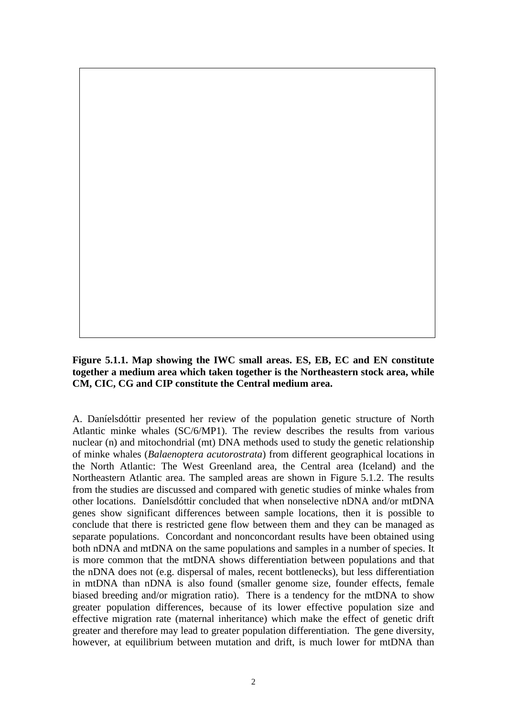### **Figure 5.1.1. Map showing the IWC small areas. ES, EB, EC and EN constitute together a medium area which taken together is the Northeastern stock area, while CM, CIC, CG and CIP constitute the Central medium area.**

A. Daníelsdóttir presented her review of the population genetic structure of North Atlantic minke whales (SC/6/MP1). The review describes the results from various nuclear (n) and mitochondrial (mt) DNA methods used to study the genetic relationship of minke whales (*Balaenoptera acutorostrata*) from different geographical locations in the North Atlantic: The West Greenland area, the Central area (Iceland) and the Northeastern Atlantic area. The sampled areas are shown in Figure 5.1.2. The results from the studies are discussed and compared with genetic studies of minke whales from other locations. Daníelsdóttir concluded that when nonselective nDNA and/or mtDNA genes show significant differences between sample locations, then it is possible to conclude that there is restricted gene flow between them and they can be managed as separate populations. Concordant and nonconcordant results have been obtained using both nDNA and mtDNA on the same populations and samples in a number of species. It is more common that the mtDNA shows differentiation between populations and that the nDNA does not (e.g. dispersal of males, recent bottlenecks), but less differentiation in mtDNA than nDNA is also found (smaller genome size, founder effects, female biased breeding and/or migration ratio). There is a tendency for the mtDNA to show greater population differences, because of its lower effective population size and effective migration rate (maternal inheritance) which make the effect of genetic drift greater and therefore may lead to greater population differentiation. The gene diversity, however, at equilibrium between mutation and drift, is much lower for mtDNA than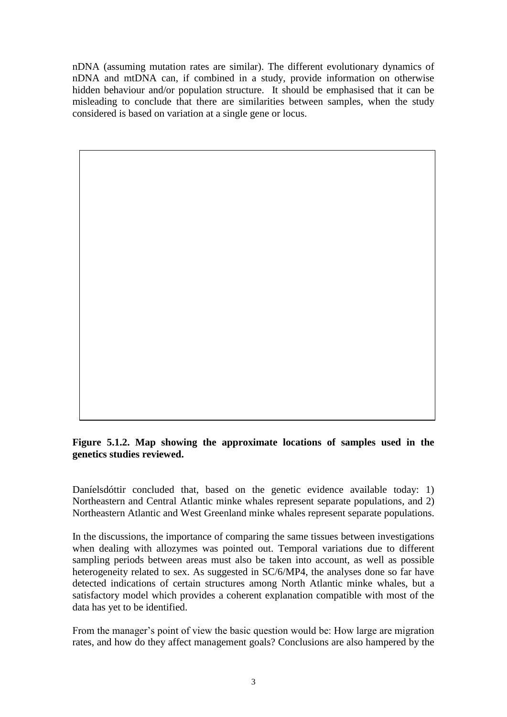nDNA (assuming mutation rates are similar). The different evolutionary dynamics of nDNA and mtDNA can, if combined in a study, provide information on otherwise hidden behaviour and/or population structure. It should be emphasised that it can be misleading to conclude that there are similarities between samples, when the study considered is based on variation at a single gene or locus.

# **Figure 5.1.2. Map showing the approximate locations of samples used in the genetics studies reviewed.**

Daníelsdóttir concluded that, based on the genetic evidence available today: 1) Northeastern and Central Atlantic minke whales represent separate populations, and 2) Northeastern Atlantic and West Greenland minke whales represent separate populations.

In the discussions, the importance of comparing the same tissues between investigations when dealing with allozymes was pointed out. Temporal variations due to different sampling periods between areas must also be taken into account, as well as possible heterogeneity related to sex. As suggested in SC/6/MP4, the analyses done so far have detected indications of certain structures among North Atlantic minke whales, but a satisfactory model which provides a coherent explanation compatible with most of the data has yet to be identified.

From the manager's point of view the basic question would be: How large are migration rates, and how do they affect management goals? Conclusions are also hampered by the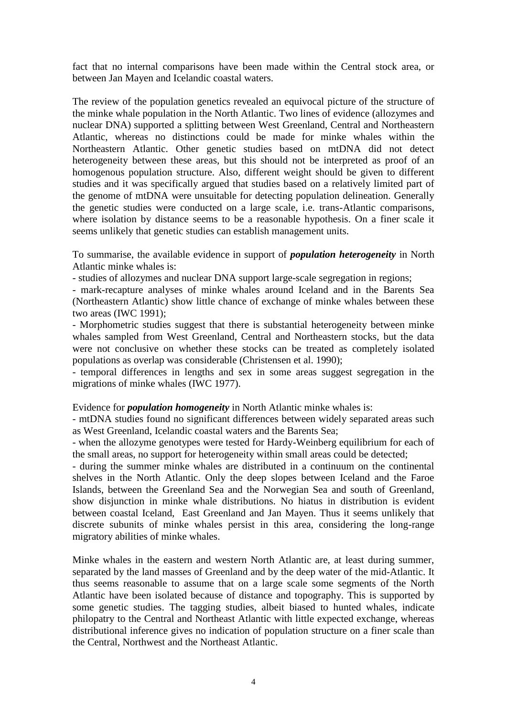fact that no internal comparisons have been made within the Central stock area, or between Jan Mayen and Icelandic coastal waters.

The review of the population genetics revealed an equivocal picture of the structure of the minke whale population in the North Atlantic. Two lines of evidence (allozymes and nuclear DNA) supported a splitting between West Greenland, Central and Northeastern Atlantic, whereas no distinctions could be made for minke whales within the Northeastern Atlantic. Other genetic studies based on mtDNA did not detect heterogeneity between these areas, but this should not be interpreted as proof of an homogenous population structure. Also, different weight should be given to different studies and it was specifically argued that studies based on a relatively limited part of the genome of mtDNA were unsuitable for detecting population delineation. Generally the genetic studies were conducted on a large scale, i.e. trans-Atlantic comparisons, where isolation by distance seems to be a reasonable hypothesis. On a finer scale it seems unlikely that genetic studies can establish management units.

To summarise, the available evidence in support of *population heterogeneity* in North Atlantic minke whales is:

- studies of allozymes and nuclear DNA support large-scale segregation in regions;

- mark-recapture analyses of minke whales around Iceland and in the Barents Sea (Northeastern Atlantic) show little chance of exchange of minke whales between these two areas (IWC 1991);

- Morphometric studies suggest that there is substantial heterogeneity between minke whales sampled from West Greenland, Central and Northeastern stocks, but the data were not conclusive on whether these stocks can be treated as completely isolated populations as overlap was considerable (Christensen et al. 1990);

- temporal differences in lengths and sex in some areas suggest segregation in the migrations of minke whales (IWC 1977).

## Evidence for *population homogeneity* in North Atlantic minke whales is:

- mtDNA studies found no significant differences between widely separated areas such as West Greenland, Icelandic coastal waters and the Barents Sea;

- when the allozyme genotypes were tested for Hardy-Weinberg equilibrium for each of the small areas, no support for heterogeneity within small areas could be detected;

- during the summer minke whales are distributed in a continuum on the continental shelves in the North Atlantic. Only the deep slopes between Iceland and the Faroe Islands, between the Greenland Sea and the Norwegian Sea and south of Greenland, show disjunction in minke whale distributions. No hiatus in distribution is evident between coastal Iceland, East Greenland and Jan Mayen. Thus it seems unlikely that discrete subunits of minke whales persist in this area, considering the long-range migratory abilities of minke whales.

Minke whales in the eastern and western North Atlantic are, at least during summer, separated by the land masses of Greenland and by the deep water of the mid-Atlantic. It thus seems reasonable to assume that on a large scale some segments of the North Atlantic have been isolated because of distance and topography. This is supported by some genetic studies. The tagging studies, albeit biased to hunted whales, indicate philopatry to the Central and Northeast Atlantic with little expected exchange, whereas distributional inference gives no indication of population structure on a finer scale than the Central, Northwest and the Northeast Atlantic.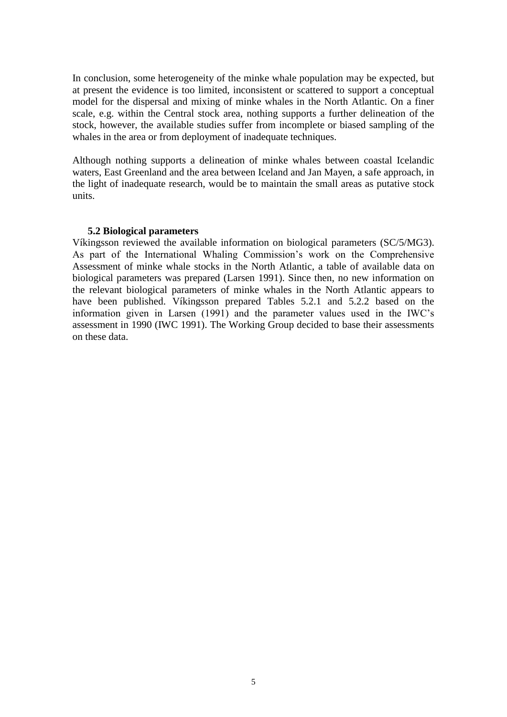In conclusion, some heterogeneity of the minke whale population may be expected, but at present the evidence is too limited, inconsistent or scattered to support a conceptual model for the dispersal and mixing of minke whales in the North Atlantic. On a finer scale, e.g. within the Central stock area, nothing supports a further delineation of the stock, however, the available studies suffer from incomplete or biased sampling of the whales in the area or from deployment of inadequate techniques.

Although nothing supports a delineation of minke whales between coastal Icelandic waters, East Greenland and the area between Iceland and Jan Mayen, a safe approach, in the light of inadequate research, would be to maintain the small areas as putative stock units.

### **5.2 Biological parameters**

Víkingsson reviewed the available information on biological parameters (SC/5/MG3). As part of the International Whaling Commission's work on the Comprehensive Assessment of minke whale stocks in the North Atlantic, a table of available data on biological parameters was prepared (Larsen 1991). Since then, no new information on the relevant biological parameters of minke whales in the North Atlantic appears to have been published. Víkingsson prepared Tables 5.2.1 and 5.2.2 based on the information given in Larsen (1991) and the parameter values used in the IWC's assessment in 1990 (IWC 1991). The Working Group decided to base their assessments on these data.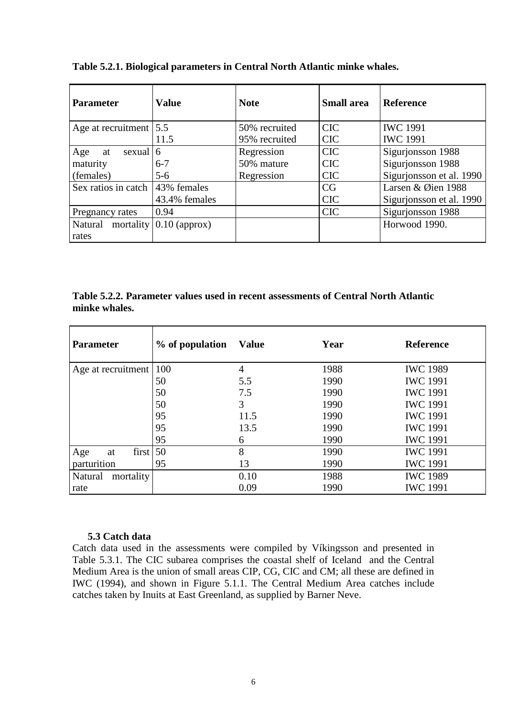| <b>Parameter</b>                    | <b>Value</b>               | <b>Note</b>   | <b>Small area</b> | <b>Reference</b>         |
|-------------------------------------|----------------------------|---------------|-------------------|--------------------------|
| Age at recruitment $ 5.5 $          |                            | 50% recruited | <b>CIC</b>        | <b>IWC 1991</b>          |
|                                     | 11.5                       | 95% recruited | <b>CIC</b>        | <b>IWC 1991</b>          |
| sexual $\vert 6 \vert$<br>Age<br>at |                            | Regression    | <b>CIC</b>        | Sigurjonsson 1988        |
| maturity                            | $6 - 7$                    | 50% mature    | <b>CIC</b>        | Sigurjonsson 1988        |
| (females)                           | $5 - 6$                    | Regression    | <b>CIC</b>        | Sigurjonsson et al. 1990 |
| Sex ratios in catch                 | 43% females                |               | CG                | Larsen & Øien 1988       |
|                                     | 43.4% females              |               | <b>CIC</b>        | Sigurjonsson et al. 1990 |
| Pregnancy rates                     | 0.94                       |               | <b>CIC</b>        | Sigurjonsson 1988        |
| Natural                             | mortality $(0.10$ (approx) |               |                   | Horwood 1990.            |
| rates                               |                            |               |                   |                          |

**Table 5.2.1. Biological parameters in Central North Atlantic minke whales.**

# **Table 5.2.2. Parameter values used in recent assessments of Central North Atlantic minke whales.**

| <b>Parameter</b>     | % of population | <b>Value</b> | Year | <b>Reference</b> |  |  |
|----------------------|-----------------|--------------|------|------------------|--|--|
| Age at recruitment   | 100             | 4            | 1988 | <b>IWC 1989</b>  |  |  |
|                      | 50              | 5.5          | 1990 | <b>IWC 1991</b>  |  |  |
|                      | 50              | 7.5          | 1990 | <b>IWC 1991</b>  |  |  |
|                      | 50              | 3            | 1990 | <b>IWC 1991</b>  |  |  |
|                      | 95              | 11.5         | 1990 | <b>IWC 1991</b>  |  |  |
|                      | 95              | 13.5         | 1990 | <b>IWC 1991</b>  |  |  |
|                      | 95              | 6            | 1990 | <b>IWC 1991</b>  |  |  |
| Age<br>first  <br>at | 50              | 8            | 1990 | <b>IWC 1991</b>  |  |  |
| parturition          | 95              | 13           | 1990 | <b>IWC 1991</b>  |  |  |
| mortality<br>Natural |                 | 0.10         | 1988 | <b>IWC 1989</b>  |  |  |
| rate                 |                 | 0.09         | 1990 | <b>IWC 1991</b>  |  |  |

## **5.3 Catch data**

Catch data used in the assessments were compiled by Víkingsson and presented in Table 5.3.1. The CIC subarea comprises the coastal shelf of Iceland and the Central Medium Area is the union of small areas CIP, CG, CIC and CM; all these are defined in IWC (1994), and shown in Figure 5.1.1. The Central Medium Area catches include catches taken by Inuits at East Greenland, as supplied by Barner Neve.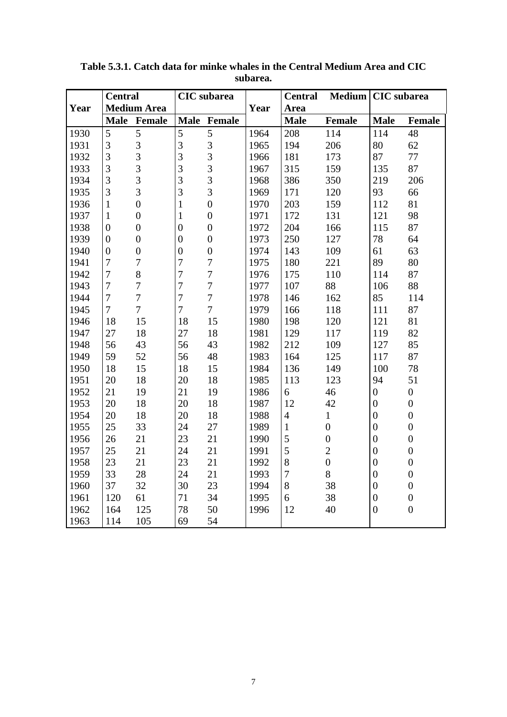|      | <b>Central</b>   |                    | <b>CIC</b> subarea |                  |      | <b>Central</b> | <b>Medium</b>    | <b>CIC</b> subarea |                  |  |
|------|------------------|--------------------|--------------------|------------------|------|----------------|------------------|--------------------|------------------|--|
| Year |                  | <b>Medium Area</b> |                    |                  | Year | Area           |                  |                    |                  |  |
|      |                  | Male Female        |                    | Male Female      |      | <b>Male</b>    | Female           | <b>Male</b>        | Female           |  |
| 1930 | 5                | 5                  | 5                  | 5                | 1964 | 208            | 114              | 114                | 48               |  |
| 1931 | 3                | 3                  | $\overline{3}$     | $\overline{3}$   | 1965 | 194            | 206              | 80                 | 62               |  |
| 1932 | 3                | 3                  | 3                  | 3                | 1966 | 181            | 173              | 87                 | 77               |  |
| 1933 | 3                | $\overline{3}$     | 3                  | 3                | 1967 | 315            | 159              | 135                | 87               |  |
| 1934 | 3                | $\overline{3}$     | 3                  | 3                | 1968 | 386            | 350              | 219                | 206              |  |
| 1935 | 3                | $\overline{3}$     | $\overline{3}$     | $\overline{3}$   | 1969 | 171            | 120              | 93                 | 66               |  |
| 1936 | $\mathbf{1}$     | $\overline{0}$     | $\mathbf{1}$       | $\overline{0}$   | 1970 | 203            | 159              | 112                | 81               |  |
| 1937 | $\mathbf{1}$     | $\boldsymbol{0}$   | $\mathbf{1}$       | $\boldsymbol{0}$ | 1971 | 172            | 131              | 121                | 98               |  |
| 1938 | $\boldsymbol{0}$ | $\boldsymbol{0}$   | $\boldsymbol{0}$   | $\overline{0}$   | 1972 | 204            | 166              | 115                | 87               |  |
| 1939 | $\boldsymbol{0}$ | $\overline{0}$     | $\boldsymbol{0}$   | $\boldsymbol{0}$ | 1973 | 250            | 127              | 78                 | 64               |  |
| 1940 | $\boldsymbol{0}$ | $\overline{0}$     | $\overline{0}$     | $\boldsymbol{0}$ | 1974 | 143            | 109              | 61                 | 63               |  |
| 1941 | $\overline{7}$   | $\overline{7}$     | 7                  | $\boldsymbol{7}$ | 1975 | 180            | 221              | 89                 | 80               |  |
| 1942 | $\overline{7}$   | 8                  | $\overline{7}$     | $\boldsymbol{7}$ | 1976 | 175            | 110              | 114                | 87               |  |
| 1943 | $\overline{7}$   | $\overline{7}$     | $\overline{7}$     | $\overline{7}$   | 1977 | 107            | 88               | 106                | 88               |  |
| 1944 | $\overline{7}$   | $\overline{7}$     | $\overline{7}$     | $\overline{7}$   | 1978 | 146            | 162              | 85                 | 114              |  |
| 1945 | $\overline{7}$   | $\overline{7}$     | $\overline{7}$     | $\overline{7}$   | 1979 | 166            | 118              | 111                | 87               |  |
| 1946 | 18               | 15                 | 18                 | 15               | 1980 | 198            | 120              | 121                | 81               |  |
| 1947 | 27               | 18                 | 27                 | 18               | 1981 | 129            | 117              | 119                | 82               |  |
| 1948 | 56               | 43                 | 56                 | 43               | 1982 | 212            | 109              | 127                | 85               |  |
| 1949 | 59               | 52                 | 56                 | 48               | 1983 | 164            | 125              | 117                | 87               |  |
| 1950 | 18               | 15                 | 18                 | 15               | 1984 | 136            | 149              | 100                | 78               |  |
| 1951 | 20               | 18                 | 20                 | 18               | 1985 | 113            | 123              | 94                 | 51               |  |
| 1952 | 21               | 19                 | 21                 | 19               | 1986 | 6              | 46               | $\boldsymbol{0}$   | $\boldsymbol{0}$ |  |
| 1953 | 20               | 18                 | 20                 | 18               | 1987 | 12             | 42               | $\overline{0}$     | $\boldsymbol{0}$ |  |
| 1954 | 20               | 18                 | 20                 | 18               | 1988 | $\overline{4}$ | $\mathbf{1}$     | $\overline{0}$     | $\boldsymbol{0}$ |  |
| 1955 | 25               | 33                 | 24                 | 27               | 1989 | $\mathbf{1}$   | $\boldsymbol{0}$ | $\overline{0}$     | $\boldsymbol{0}$ |  |
| 1956 | 26               | 21                 | 23                 | 21               | 1990 | 5              | $\boldsymbol{0}$ | $\overline{0}$     | $\boldsymbol{0}$ |  |
| 1957 | 25               | 21                 | 24                 | 21               | 1991 | 5              | $\mathbf{2}$     | $\overline{0}$     | $\boldsymbol{0}$ |  |
| 1958 | 23               | 21                 | 23                 | 21               | 1992 | 8              | $\boldsymbol{0}$ | $\boldsymbol{0}$   | $\boldsymbol{0}$ |  |
| 1959 | 33               | 28                 | 24                 | 21               | 1993 | $\overline{7}$ | 8                | $\boldsymbol{0}$   | $\boldsymbol{0}$ |  |
| 1960 | 37               | 32                 | 30                 | 23               | 1994 | 8              | 38               | $\overline{0}$     | $\boldsymbol{0}$ |  |
| 1961 | 120              | 61                 | 71                 | 34               | 1995 | 6              | 38               | $\overline{0}$     | $\boldsymbol{0}$ |  |
| 1962 | 164              | 125                | 78                 | 50               | 1996 | 12             | 40               | $\overline{0}$     | $\boldsymbol{0}$ |  |
| 1963 | 114              | 105                | 69                 | 54               |      |                |                  |                    |                  |  |

**Table 5.3.1. Catch data for minke whales in the Central Medium Area and CIC subarea.**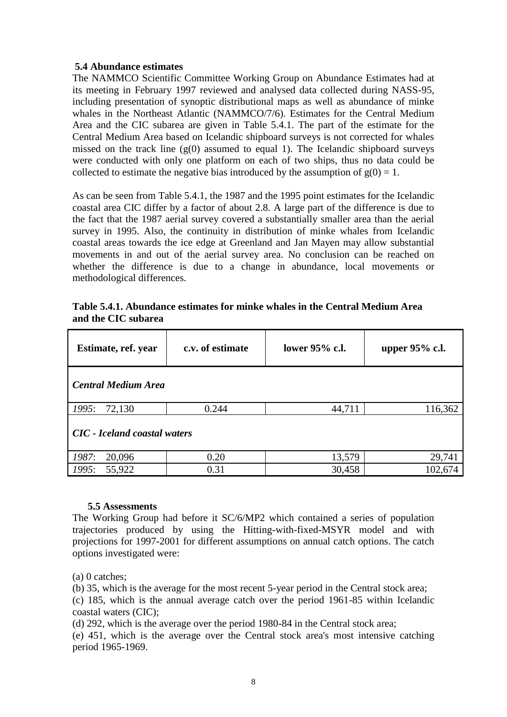# **5.4 Abundance estimates**

The NAMMCO Scientific Committee Working Group on Abundance Estimates had at its meeting in February 1997 reviewed and analysed data collected during NASS-95, including presentation of synoptic distributional maps as well as abundance of minke whales in the Northeast Atlantic (NAMMCO/7/6). Estimates for the Central Medium Area and the CIC subarea are given in Table 5.4.1. The part of the estimate for the Central Medium Area based on Icelandic shipboard surveys is not corrected for whales missed on the track line  $(g(0)$  assumed to equal 1). The Icelandic shipboard surveys were conducted with only one platform on each of two ships, thus no data could be collected to estimate the negative bias introduced by the assumption of  $g(0) = 1$ .

As can be seen from Table 5.4.1, the 1987 and the 1995 point estimates for the Icelandic coastal area CIC differ by a factor of about 2.8. A large part of the difference is due to the fact that the 1987 aerial survey covered a substantially smaller area than the aerial survey in 1995. Also, the continuity in distribution of minke whales from Icelandic coastal areas towards the ice edge at Greenland and Jan Mayen may allow substantial movements in and out of the aerial survey area. No conclusion can be reached on whether the difference is due to a change in abundance, local movements or methodological differences.

| Table 5.4.1. Abundance estimates for minke whales in the Central Medium Area |
|------------------------------------------------------------------------------|
| and the CIC subarea                                                          |

| Estimate, ref. year                 | c.v. of estimate | lower 95% c.l. | upper 95% c.l. |  |  |
|-------------------------------------|------------------|----------------|----------------|--|--|
| <b>Central Medium Area</b>          |                  |                |                |  |  |
| 1995:<br>72,130                     | 0.244            | 44,711         | 116,362        |  |  |
| <b>CIC</b> - Iceland coastal waters |                  |                |                |  |  |
| 1987:<br>20,096                     | 0.20             | 13,579         | 29,741         |  |  |
| 55,922<br>1995:                     | 0.31             | 30,458         | 102,674        |  |  |

## **5.5 Assessments**

The Working Group had before it SC/6/MP2 which contained a series of population trajectories produced by using the Hitting-with-fixed-MSYR model and with projections for 1997-2001 for different assumptions on annual catch options. The catch options investigated were:

(a) 0 catches;

(b) 35, which is the average for the most recent 5-year period in the Central stock area;

(c) 185, which is the annual average catch over the period 1961-85 within Icelandic coastal waters (CIC);

(d) 292, which is the average over the period 1980-84 in the Central stock area;

(e) 451, which is the average over the Central stock area's most intensive catching period 1965-1969.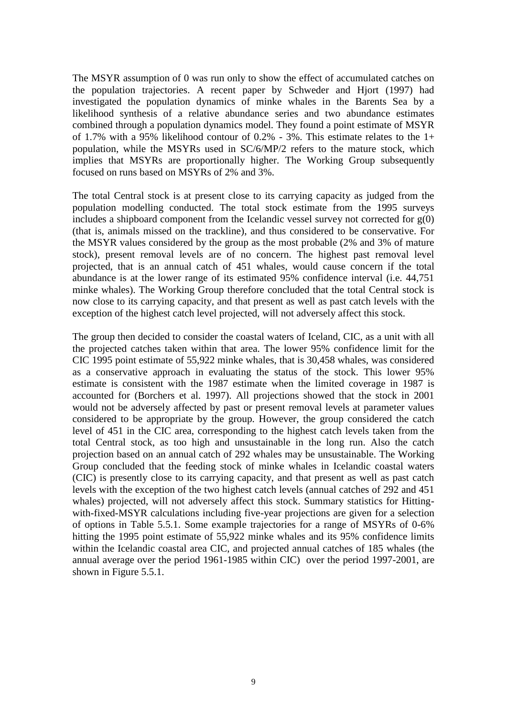The MSYR assumption of 0 was run only to show the effect of accumulated catches on the population trajectories. A recent paper by Schweder and Hjort (1997) had investigated the population dynamics of minke whales in the Barents Sea by a likelihood synthesis of a relative abundance series and two abundance estimates combined through a population dynamics model. They found a point estimate of MSYR of 1.7% with a 95% likelihood contour of 0.2% - 3%. This estimate relates to the 1+ population, while the MSYRs used in SC/6/MP/2 refers to the mature stock, which implies that MSYRs are proportionally higher. The Working Group subsequently focused on runs based on MSYRs of 2% and 3%.

The total Central stock is at present close to its carrying capacity as judged from the population modelling conducted. The total stock estimate from the 1995 surveys includes a shipboard component from the Icelandic vessel survey not corrected for  $g(0)$ (that is, animals missed on the trackline), and thus considered to be conservative. For the MSYR values considered by the group as the most probable (2% and 3% of mature stock), present removal levels are of no concern. The highest past removal level projected, that is an annual catch of 451 whales, would cause concern if the total abundance is at the lower range of its estimated 95% confidence interval (i.e. 44,751 minke whales). The Working Group therefore concluded that the total Central stock is now close to its carrying capacity, and that present as well as past catch levels with the exception of the highest catch level projected, will not adversely affect this stock.

The group then decided to consider the coastal waters of Iceland, CIC, as a unit with all the projected catches taken within that area. The lower 95% confidence limit for the CIC 1995 point estimate of 55,922 minke whales, that is 30,458 whales, was considered as a conservative approach in evaluating the status of the stock. This lower 95% estimate is consistent with the 1987 estimate when the limited coverage in 1987 is accounted for (Borchers et al. 1997). All projections showed that the stock in 2001 would not be adversely affected by past or present removal levels at parameter values considered to be appropriate by the group. However, the group considered the catch level of 451 in the CIC area, corresponding to the highest catch levels taken from the total Central stock, as too high and unsustainable in the long run. Also the catch projection based on an annual catch of 292 whales may be unsustainable. The Working Group concluded that the feeding stock of minke whales in Icelandic coastal waters (CIC) is presently close to its carrying capacity, and that present as well as past catch levels with the exception of the two highest catch levels (annual catches of 292 and 451 whales) projected, will not adversely affect this stock. Summary statistics for Hittingwith-fixed-MSYR calculations including five-year projections are given for a selection of options in Table 5.5.1. Some example trajectories for a range of MSYRs of 0-6% hitting the 1995 point estimate of 55,922 minke whales and its 95% confidence limits within the Icelandic coastal area CIC, and projected annual catches of 185 whales (the annual average over the period 1961-1985 within CIC) over the period 1997-2001, are shown in Figure 5.5.1.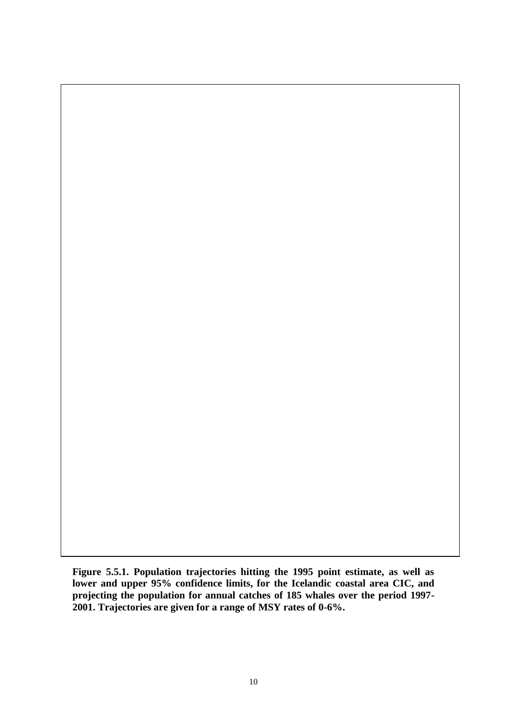**Figure 5.5.1. Population trajectories hitting the 1995 point estimate, as well as lower and upper 95% confidence limits, for the Icelandic coastal area CIC, and projecting the population for annual catches of 185 whales over the period 1997- 2001. Trajectories are given for a range of MSY rates of 0-6%.**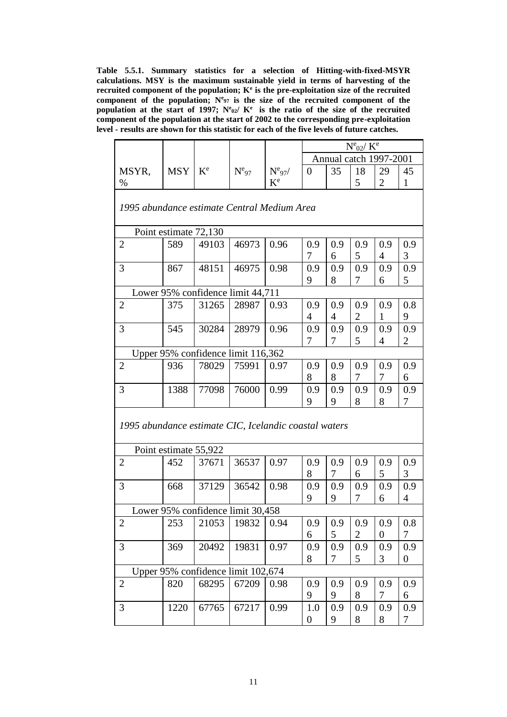**Table 5.5.1. Summary statistics for a selection of Hitting-with-fixed-MSYR calculations. MSY is the maximum sustainable yield in terms of harvesting of the recruited component of the population; K<sup>e</sup> is the pre-exploitation size of the recruited component of the population; N<sup>e</sup> <sup>97</sup> is the size of the recruited component of the population at the start of 1997; N<sup>e</sup> <sup>02</sup>/ K<sup>e</sup>is the ratio of the size of the recruited component of the population at the start of 2002 to the corresponding pre-exploitation level - results are shown for this statistic for each of the five levels of future catches.**

|       |     |                         |           |                         | $N^e_{02}/K^e$ |    |    |                        |  |
|-------|-----|-------------------------|-----------|-------------------------|----------------|----|----|------------------------|--|
|       |     |                         |           |                         |                |    |    | Annual catch 1997-2001 |  |
| MSYR, | MSY | $\mathbf{V}^{\text{e}}$ | $N_{.97}$ | $N_{97}$                |                | 35 | 18 | 29                     |  |
| $\%$  |     |                         |           | $\mathbf{V}^{\text{e}}$ |                |    |    |                        |  |

| 1995 abundance estimate Central Medium Area           |                                   |                                    |       |      |                       |          |                       |                       |                         |
|-------------------------------------------------------|-----------------------------------|------------------------------------|-------|------|-----------------------|----------|-----------------------|-----------------------|-------------------------|
|                                                       | Point estimate 72,130             |                                    |       |      |                       |          |                       |                       |                         |
| $\mathbf{2}$                                          | 589                               | 49103                              | 46973 | 0.96 | 0.9<br>7              | 0.9<br>6 | 0.9<br>5              | 0.9<br>$\overline{4}$ | 0.9<br>3                |
| 3                                                     | 867                               | 48151                              | 46975 | 0.98 | 0.9<br>9              | 0.9<br>8 | 0.9<br>7              | 0.9<br>6              | 0.9<br>5                |
|                                                       | Lower 95% confidence limit 44,711 |                                    |       |      |                       |          |                       |                       |                         |
| $\overline{2}$                                        | 375                               | 31265                              | 28987 | 0.93 | 0.9<br>$\overline{4}$ | 0.9<br>4 | 0.9<br>$\overline{2}$ | 0.9<br>$\mathbf{1}$   | 0.8<br>9                |
| 3                                                     | 545                               | 30284                              | 28979 | 0.96 | 0.9<br>7              | 0.9<br>7 | 0.9<br>5              | 0.9<br>4              | 0.9<br>$\overline{c}$   |
|                                                       |                                   | Upper 95% confidence limit 116,362 |       |      |                       |          |                       |                       |                         |
| $\overline{2}$                                        | 936                               | 78029                              | 75991 | 0.97 | 0.9<br>8              | 0.9<br>8 | 0.9<br>$\tau$         | 0.9<br>7              | 0.9<br>6                |
| 3                                                     | 1388                              | 77098                              | 76000 | 0.99 | 0.9<br>9              | 0.9<br>9 | 0.9<br>8              | 0.9<br>8              | 0.9<br>7                |
| 1995 abundance estimate CIC, Icelandic coastal waters |                                   |                                    |       |      |                       |          |                       |                       |                         |
|                                                       | Point estimate 55,922             |                                    |       |      |                       |          |                       |                       |                         |
| $\overline{2}$                                        | 452                               | 37671                              | 36537 | 0.97 | 0.9<br>8              | 0.9<br>7 | 0.9<br>6              | 0.9<br>5              | 0.9<br>3                |
| 3                                                     | 668                               | 37129                              | 36542 | 0.98 | 0.9<br>9              | 0.9<br>9 | 0.9<br>7              | 0.9<br>6              | 0.9<br>$\overline{4}$   |
|                                                       |                                   | Lower 95% confidence limit 30,458  |       |      |                       |          |                       |                       |                         |
| $\overline{2}$                                        | 253                               | 21053                              | 19832 | 0.94 | 0.9<br>6              | 0.9<br>5 | 0.9<br>$\overline{2}$ | 0.9<br>$\overline{0}$ | 0.8<br>7                |
| 3                                                     | 369                               | 20492                              | 19831 | 0.97 | 0.9<br>8              | 0.9<br>7 | 0.9<br>5              | 0.9<br>3              | 0.9<br>$\boldsymbol{0}$ |
|                                                       |                                   | Upper 95% confidence limit 102,674 |       |      |                       |          |                       |                       |                         |
| $\overline{2}$                                        | 820                               | 68295                              | 67209 | 0.98 | 0.9<br>9              | 0.9<br>9 | 0.9<br>8              | 0.9<br>7              | 0.9<br>6                |
| 3                                                     | 1220                              | 67765                              | 67217 | 0.99 | 1.0<br>$\overline{0}$ | 0.9<br>9 | 0.9<br>8              | 0.9<br>8              | 0.9<br>7                |

*1995 abundance estimate Central Medium Area*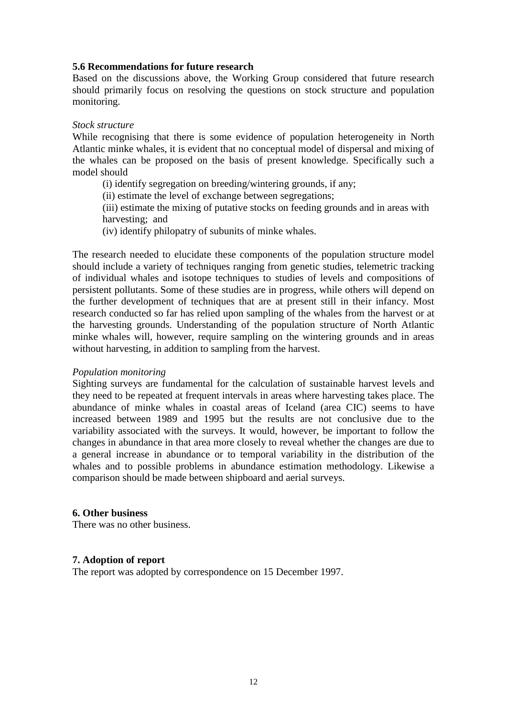## **5.6 Recommendations for future research**

Based on the discussions above, the Working Group considered that future research should primarily focus on resolving the questions on stock structure and population monitoring.

#### *Stock structure*

While recognising that there is some evidence of population heterogeneity in North Atlantic minke whales, it is evident that no conceptual model of dispersal and mixing of the whales can be proposed on the basis of present knowledge. Specifically such a model should

- (i) identify segregation on breeding/wintering grounds, if any;
- (ii) estimate the level of exchange between segregations;

(iii) estimate the mixing of putative stocks on feeding grounds and in areas with harvesting; and

(iv) identify philopatry of subunits of minke whales.

The research needed to elucidate these components of the population structure model should include a variety of techniques ranging from genetic studies, telemetric tracking of individual whales and isotope techniques to studies of levels and compositions of persistent pollutants. Some of these studies are in progress, while others will depend on the further development of techniques that are at present still in their infancy. Most research conducted so far has relied upon sampling of the whales from the harvest or at the harvesting grounds. Understanding of the population structure of North Atlantic minke whales will, however, require sampling on the wintering grounds and in areas without harvesting, in addition to sampling from the harvest.

#### *Population monitoring*

Sighting surveys are fundamental for the calculation of sustainable harvest levels and they need to be repeated at frequent intervals in areas where harvesting takes place. The abundance of minke whales in coastal areas of Iceland (area CIC) seems to have increased between 1989 and 1995 but the results are not conclusive due to the variability associated with the surveys. It would, however, be important to follow the changes in abundance in that area more closely to reveal whether the changes are due to a general increase in abundance or to temporal variability in the distribution of the whales and to possible problems in abundance estimation methodology. Likewise a comparison should be made between shipboard and aerial surveys.

## **6. Other business**

There was no other business.

## **7. Adoption of report**

The report was adopted by correspondence on 15 December 1997.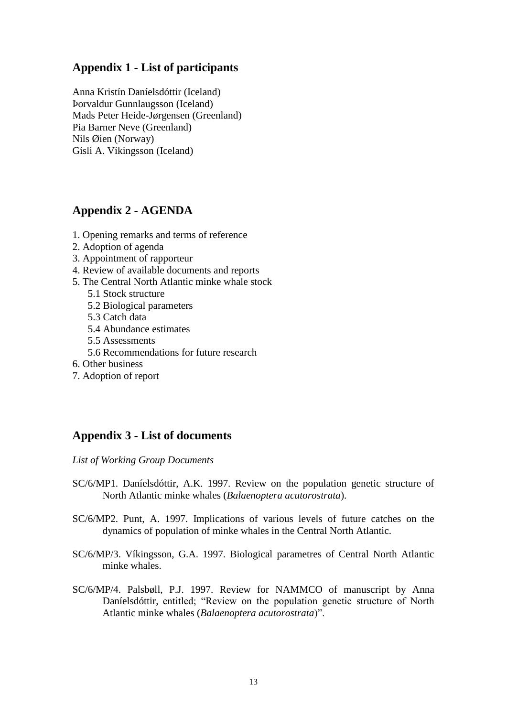# **Appendix 1 - List of participants**

Anna Kristín Daníelsdóttir (Iceland) Þorvaldur Gunnlaugsson (Iceland) Mads Peter Heide-Jørgensen (Greenland) Pia Barner Neve (Greenland) Nils Øien (Norway) Gísli A. Víkingsson (Iceland)

# **Appendix 2 - AGENDA**

- 1. Opening remarks and terms of reference
- 2. Adoption of agenda
- 3. Appointment of rapporteur
- 4. Review of available documents and reports
- 5. The Central North Atlantic minke whale stock
	- 5.1 Stock structure
		- 5.2 Biological parameters
		- 5.3 Catch data
		- 5.4 Abundance estimates
		- 5.5 Assessments
		- 5.6 Recommendations for future research
- 6. Other business
- 7. Adoption of report

# **Appendix 3 - List of documents**

*List of Working Group Documents*

- SC/6/MP1. Daníelsdóttir, A.K. 1997. Review on the population genetic structure of North Atlantic minke whales (*Balaenoptera acutorostrata*).
- SC/6/MP2. Punt, A. 1997. Implications of various levels of future catches on the dynamics of population of minke whales in the Central North Atlantic.
- SC/6/MP/3. Víkingsson, G.A. 1997. Biological parametres of Central North Atlantic minke whales.
- SC/6/MP/4. Palsbøll, P.J. 1997. Review for NAMMCO of manuscript by Anna Daníelsdóttir, entitled; "Review on the population genetic structure of North Atlantic minke whales (*Balaenoptera acutorostrata*)".